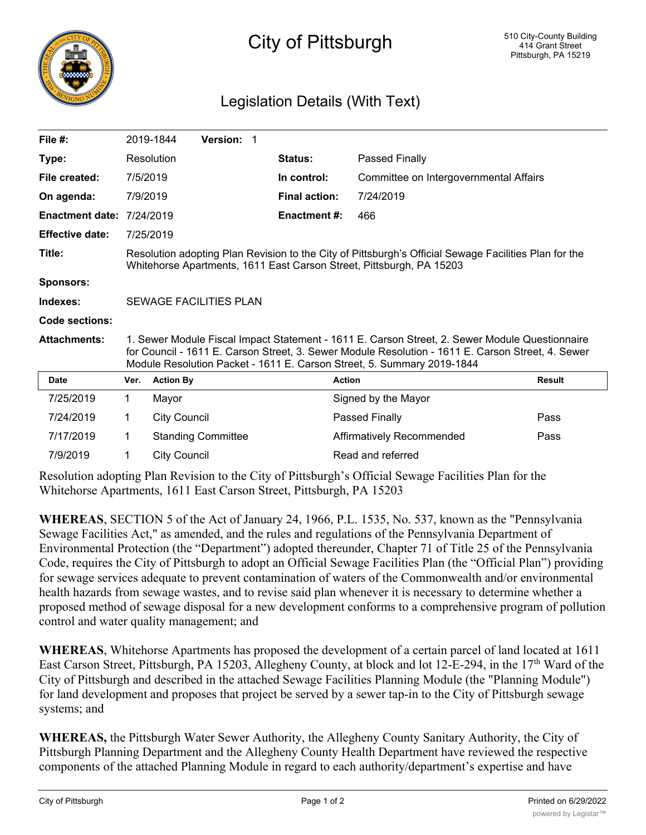

## City of Pittsburgh

## Legislation Details (With Text)

| File #:                |                                                                                                                                                                                                                                                                               | 2019-1844           | <b>Version: 1</b>         |  |                      |                                        |               |
|------------------------|-------------------------------------------------------------------------------------------------------------------------------------------------------------------------------------------------------------------------------------------------------------------------------|---------------------|---------------------------|--|----------------------|----------------------------------------|---------------|
| Type:                  |                                                                                                                                                                                                                                                                               | Resolution          |                           |  | Status:              | Passed Finally                         |               |
| File created:          | 7/5/2019                                                                                                                                                                                                                                                                      |                     |                           |  | In control:          | Committee on Intergovernmental Affairs |               |
| On agenda:             | 7/9/2019                                                                                                                                                                                                                                                                      |                     |                           |  | <b>Final action:</b> | 7/24/2019                              |               |
| <b>Enactment date:</b> | 7/24/2019                                                                                                                                                                                                                                                                     |                     |                           |  | <b>Enactment #:</b>  | 466                                    |               |
| <b>Effective date:</b> |                                                                                                                                                                                                                                                                               | 7/25/2019           |                           |  |                      |                                        |               |
| Title:                 | Resolution adopting Plan Revision to the City of Pittsburgh's Official Sewage Facilities Plan for the<br>Whitehorse Apartments, 1611 East Carson Street, Pittsburgh, PA 15203                                                                                                 |                     |                           |  |                      |                                        |               |
| <b>Sponsors:</b>       |                                                                                                                                                                                                                                                                               |                     |                           |  |                      |                                        |               |
| Indexes:               | SEWAGE FACILITIES PLAN                                                                                                                                                                                                                                                        |                     |                           |  |                      |                                        |               |
| Code sections:         |                                                                                                                                                                                                                                                                               |                     |                           |  |                      |                                        |               |
| <b>Attachments:</b>    | 1. Sewer Module Fiscal Impact Statement - 1611 E. Carson Street, 2. Sewer Module Questionnaire<br>for Council - 1611 E. Carson Street, 3. Sewer Module Resolution - 1611 E. Carson Street, 4. Sewer<br>Module Resolution Packet - 1611 E. Carson Street, 5. Summary 2019-1844 |                     |                           |  |                      |                                        |               |
| <b>Date</b>            | Ver.                                                                                                                                                                                                                                                                          | <b>Action By</b>    |                           |  |                      | <b>Action</b>                          | <b>Result</b> |
| 7/25/2019              | 1.                                                                                                                                                                                                                                                                            | Mayor               |                           |  |                      | Signed by the Mayor                    |               |
| 7/24/2019              | 1                                                                                                                                                                                                                                                                             | <b>City Council</b> |                           |  |                      | Passed Finally                         | Pass          |
| 7/17/2019              | 1.                                                                                                                                                                                                                                                                            |                     | <b>Standing Committee</b> |  |                      | Affirmatively Recommended              | Pass          |
| 7/9/2019               | 1                                                                                                                                                                                                                                                                             | <b>City Council</b> |                           |  |                      | Read and referred                      |               |

Resolution adopting Plan Revision to the City of Pittsburgh's Official Sewage Facilities Plan for the Whitehorse Apartments, 1611 East Carson Street, Pittsburgh, PA 15203

**WHEREAS**, SECTION 5 of the Act of January 24, 1966, P.L. 1535, No. 537, known as the "Pennsylvania Sewage Facilities Act," as amended, and the rules and regulations of the Pennsylvania Department of Environmental Protection (the "Department") adopted thereunder, Chapter 71 of Title 25 of the Pennsylvania Code, requires the City of Pittsburgh to adopt an Official Sewage Facilities Plan (the "Official Plan") providing for sewage services adequate to prevent contamination of waters of the Commonwealth and/or environmental health hazards from sewage wastes, and to revise said plan whenever it is necessary to determine whether a proposed method of sewage disposal for a new development conforms to a comprehensive program of pollution control and water quality management; and

**WHEREAS**, Whitehorse Apartments has proposed the development of a certain parcel of land located at 1611 East Carson Street, Pittsburgh, PA 15203, Allegheny County, at block and lot 12-E-294, in the 17<sup>th</sup> Ward of the City of Pittsburgh and described in the attached Sewage Facilities Planning Module (the "Planning Module") for land development and proposes that project be served by a sewer tap-in to the City of Pittsburgh sewage systems; and

**WHEREAS,** the Pittsburgh Water Sewer Authority, the Allegheny County Sanitary Authority, the City of Pittsburgh Planning Department and the Allegheny County Health Department have reviewed the respective components of the attached Planning Module in regard to each authority/department's expertise and have